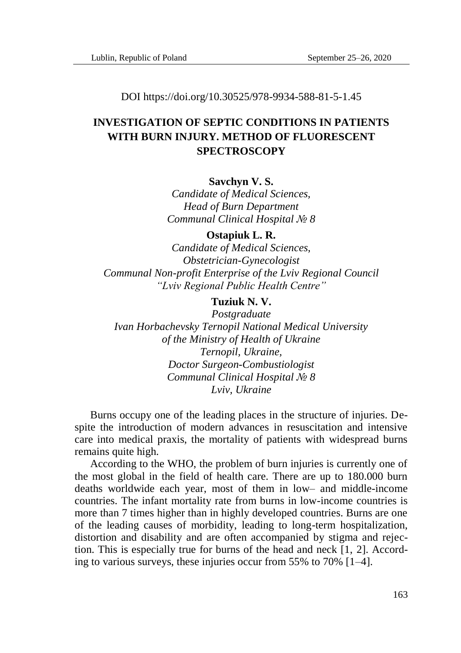DOI https://doi.org/10.30525/978-9934-588-81-5-1.45

# **INVESTIGATION OF SEPTIC CONDITIONS IN PATIENTS WITH BURN INJURY. METHOD OF FLUORESCENT SPECTROSCOPY**

#### **Savchyn V. S.**

*Candidate of Medical Sciences, Head of Burn Department Communal Clinical Hospital № 8*

#### **Ostapiuk L. R.**

*Candidate of Medical Sciences, Obstetrician-Gynecologist Communal Non-profit Enterprise of the Lviv Regional Council "Lviv Regional Public Health Centre"*

### **Tuziuk N. V.**

*Postgraduate Ivan Horbachevsky Ternopil National Medical University of the Ministry of Health of Ukraine Ternopil, Ukraine, Doctor Surgeon-Combustiologist Communal Clinical Hospital № 8 Lviv, Ukraine*

Burns occupy one of the leading places in the structure of injuries. Despite the introduction of modern advances in resuscitation and intensive care into medical praxis, the mortality of patients with widespread burns remains quite high.

According to the WHO, the problem of burn injuries is currently one of the most global in the field of health care. There are up to 180.000 burn deaths worldwide each year, most of them in low– and middle-income countries. The infant mortality rate from burns in low-income countries is more than 7 times higher than in highly developed countries. Burns are one of the leading causes of morbidity, leading to long-term hospitalization, distortion and disability and are often accompanied by stigma and rejection. This is especially true for burns of the head and neck [1, 2]. According to various surveys, these injuries occur from 55% to 70% [1–4].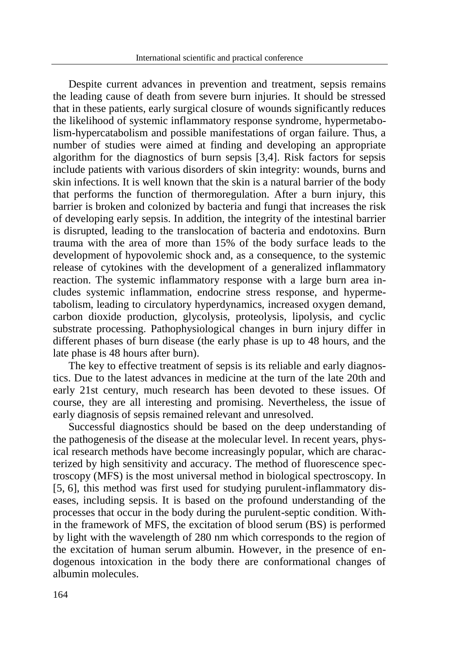Despite current advances in prevention and treatment, sepsis remains the leading cause of death from severe burn injuries. It should be stressed that in these patients, early surgical closure of wounds significantly reduces the likelihood of systemic inflammatory response syndrome, hypermetabolism-hypercatabolism and possible manifestations of organ failure. Thus, a number of studies were aimed at finding and developing an appropriate algorithm for the diagnostics of burn sepsis [3,4]. Risk factors for sepsis include patients with various disorders of skin integrity: wounds, burns and skin infections. It is well known that the skin is a natural barrier of the body that performs the function of thermoregulation. After a burn injury, this barrier is broken and colonized by bacteria and fungi that increases the risk of developing early sepsis. In addition, the integrity of the intestinal barrier is disrupted, leading to the translocation of bacteria and endotoxins. Burn trauma with the area of more than 15% of the body surface leads to the development of hypovolemic shock and, as a consequence, to the systemic release of cytokines with the development of a generalized inflammatory reaction. The systemic inflammatory response with a large burn area includes systemic inflammation, endocrine stress response, and hypermetabolism, leading to circulatory hyperdynamics, increased oxygen demand, carbon dioxide production, glycolysis, proteolysis, lipolysis, and cyclic substrate processing. Pathophysiological changes in burn injury differ in different phases of burn disease (the early phase is up to 48 hours, and the late phase is 48 hours after burn).

The key to effective treatment of sepsis is its reliable and early diagnostics. Due to the latest advances in medicine at the turn of the late 20th and early 21st century, much research has been devoted to these issues. Of course, they are all interesting and promising. Nevertheless, the issue of early diagnosis of sepsis remained relevant and unresolved.

Successful diagnostics should be based on the deep understanding of the pathogenesis of the disease at the molecular level. In recent years, physical research methods have become increasingly popular, which are characterized by high sensitivity and accuracy. The method of fluorescence spectroscopy (MFS) is the most universal method in biological spectroscopy. In [5, 6], this method was first used for studying purulent-inflammatory diseases, including sepsis. It is based on the profound understanding of the processes that occur in the body during the purulent-septic сondition. Within the framework of MFS, the excitation of blood serum (BS) is performed by light with the wavelength of 280 nm which corresponds to the region of the excitation of human serum albumin. However, in the presence of endogenous intoxication in the body there are conformational changes of albumin molecules.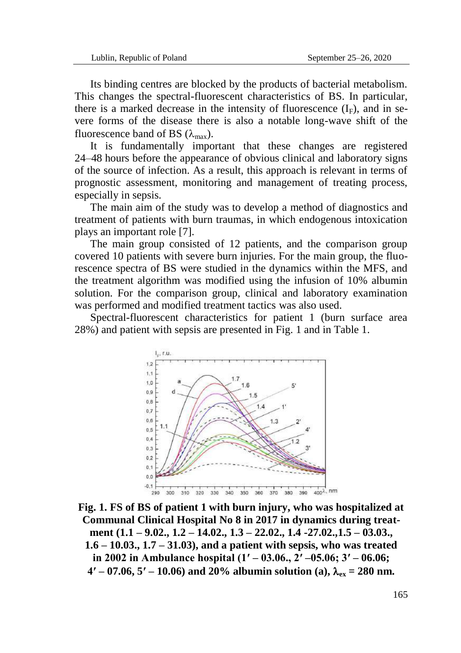Its binding centres are blocked by the products of bacterial metabolism. This changes the spectral-fluorescent characteristics of BS. In particular, there is a marked decrease in the intensity of fluorescence  $(I_F)$ , and in severe forms of the disease there is also a notable long-wave shift of the fluorescence band of BS  $(\lambda_{\text{max}})$ .

It is fundamentally important that these changes are registered 24–48 hours before the appearance of obvious clinical and laboratory signs of the source of infection. As a result, this approach is relevant in terms of prognostic assessment, monitoring and management of treating process, especially in sepsis.

The main aim of the study was to develop a method of diagnostics and treatment of patients with burn traumas, in which endogenous intoxication plays an important role [7].

The main group consisted of 12 patients, and the comparison group covered 10 patients with severe burn injuries. For the main group, the fluorescence spectra of BS were studied in the dynamics within the MFS, and the treatment algorithm was modified using the infusion of 10% albumin solution. For the comparison group, clinical and laboratory examination was performed and modified treatment tactics was also used.

Spectral-fluorescent characteristics for patient 1 (burn surface area 28%) and patient with sepsis are presented in Fig. 1 and in Table 1.



**Fig. 1. FS of BS of patient 1 with burn injury, who was hospitalized at Communal Clinical Hospital No 8 in 2017 in dynamics during treatment (1.1 – 9.02., 1.2 – 14.02., 1.3 – 22.02., 1.4 -27.02.,1.5 – 03.03., 1.6 – 10.03., 1.7 – 31.03), and a patient with sepsis, who was treated in 2002 in Ambulance hospital (1′ – 03.06., 2′ –05.06; 3′ – 06.06;**   $4' - 07.06$ ,  $5' - 10.06$  and  $20\%$  albumin solution (a),  $\lambda_{\text{ex}} = 280$  nm.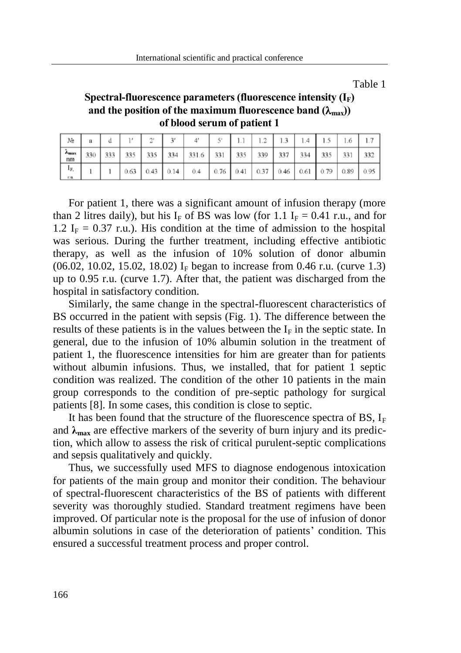Table 1

## Spectral-fluorescence parameters (fluorescence intensity  $(I_F)$ ) and the position of the maximum fluorescence band  $(\lambda_{\text{max}})$ ) of blood serum of patient 1

| No             | a |  | $\sim$ |                                                                                     |  |  | $1.3$ 1.4 1.5 1.6 |  |
|----------------|---|--|--------|-------------------------------------------------------------------------------------|--|--|-------------------|--|
| Amax<br>nm     |   |  |        | 330   333   335   335   334   331.6   331   335   339   337   334   335   331   332 |  |  |                   |  |
| IF.<br>11, 18, |   |  |        |                                                                                     |  |  |                   |  |

For patient 1, there was a significant amount of infusion therapy (more than 2 litres daily), but his I<sub>F</sub> of BS was low (for 1.1 I<sub>F</sub> = 0.41 r.u., and for 1.2  $I_F = 0.37$  r.u.). His condition at the time of admission to the hospital was serious. During the further treatment, including effective antibiotic therapy, as well as the infusion of 10% solution of donor albumin (06.02, 10.02, 15.02, 18.02) I<sub>F</sub> began to increase from 0.46 r.u. (curve 1.3) up to 0.95 r.u. (curve 1.7). After that, the patient was discharged from the hospital in satisfactory condition.

Similarly, the same change in the spectral-fluorescent characteristics of BS occurred in the patient with sepsis (Fig. 1). The difference between the results of these patients is in the values between the  $I_F$  in the septic state. In general, due to the infusion of 10% albumin solution in the treatment of patient 1, the fluorescence intensities for him are greater than for patients without albumin infusions. Thus, we installed, that for patient 1 septic condition was realized. The condition of the other 10 patients in the main group corresponds to the condition of pre-septic pathology for surgical patients [8]. In some cases, this condition is close to septic.

It has been found that the structure of the fluorescence spectra of BS,  $I_F$ and  $\lambda_{\text{max}}$  are effective markers of the severity of burn injury and its prediction, which allow to assess the risk of critical purulent-septic complications and sepsis qualitatively and quickly.

Thus, we successfully used MFS to diagnose endogenous intoxication for patients of the main group and monitor their condition. The behaviour of spectral-fluorescent characteristics of the BS of patients with different severity was thoroughly studied. Standard treatment regimens have been improved. Of particular note is the proposal for the use of infusion of donor albumin solutions in case of the deterioration of patients' condition. This ensured a successful treatment process and proper control.